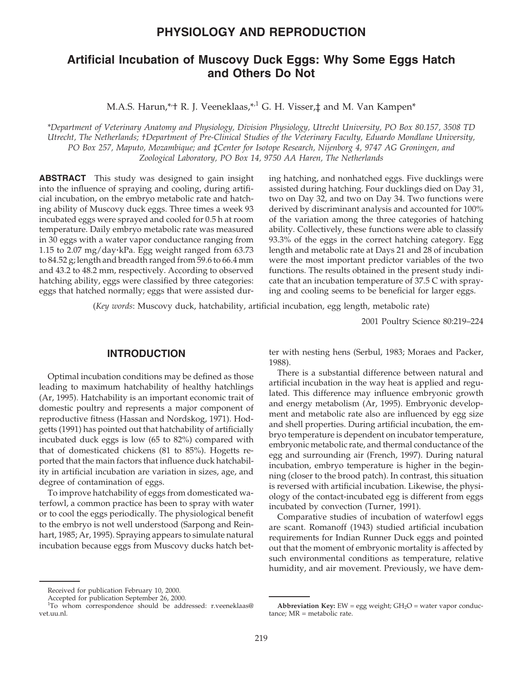# **PHYSIOLOGY AND REPRODUCTION**

# **Artificial Incubation of Muscovy Duck Eggs: Why Some Eggs Hatch and Others Do Not**

M.A.S. Harun,\*<sup>+</sup> R. J. Veeneklaas,\*<sup>,1</sup> G. H. Visser,‡ and M. Van Kampen\*

*\*Department of Veterinary Anatomy and Physiology, Division Physiology, Utrecht University, PO Box 80.157, 3508 TD Utrecht, The Netherlands; †Department of Pre-Clinical Studies of the Veterinary Faculty, Eduardo Mondlane University, PO Box 257, Maputo, Mozambique; and ‡Center for Isotope Research, Nijenborg 4, 9747 AG Groningen, and Zoological Laboratory, PO Box 14, 9750 AA Haren, The Netherlands*

**ABSTRACT** This study was designed to gain insight into the influence of spraying and cooling, during artificial incubation, on the embryo metabolic rate and hatching ability of Muscovy duck eggs. Three times a week 93 incubated eggs were sprayed and cooled for 0.5 h at room temperature. Daily embryo metabolic rate was measured in 30 eggs with a water vapor conductance ranging from 1.15 to 2.07 mg/day·kPa. Egg weight ranged from  $63.73$ to 84.52 g; length and breadth ranged from 59.6 to 66.4 mm and 43.2 to 48.2 mm, respectively. According to observed hatching ability, eggs were classified by three categories: eggs that hatched normally; eggs that were assisted during hatching, and nonhatched eggs. Five ducklings were assisted during hatching. Four ducklings died on Day 31, two on Day 32, and two on Day 34. Two functions were derived by discriminant analysis and accounted for 100% of the variation among the three categories of hatching ability. Collectively, these functions were able to classify 93.3% of the eggs in the correct hatching category. Egg length and metabolic rate at Days 21 and 28 of incubation were the most important predictor variables of the two functions. The results obtained in the present study indicate that an incubation temperature of 37.5 C with spraying and cooling seems to be beneficial for larger eggs.

(*Key words*: Muscovy duck, hatchability, artificial incubation, egg length, metabolic rate)

2001 Poultry Science 80:219–224

### **INTRODUCTION**

Optimal incubation conditions may be defined as those leading to maximum hatchability of healthy hatchlings (Ar, 1995). Hatchability is an important economic trait of domestic poultry and represents a major component of reproductive fitness (Hassan and Nordskog, 1971). Hodgetts (1991) has pointed out that hatchability of artificially incubated duck eggs is low (65 to 82%) compared with that of domesticated chickens (81 to 85%). Hogetts reported that the main factors that influence duck hatchability in artificial incubation are variation in sizes, age, and degree of contamination of eggs.

To improve hatchability of eggs from domesticated waterfowl, a common practice has been to spray with water or to cool the eggs periodically. The physiological benefit to the embryo is not well understood (Sarpong and Reinhart, 1985; Ar, 1995). Spraying appears to simulate natural incubation because eggs from Muscovy ducks hatch better with nesting hens (Serbul, 1983; Moraes and Packer, 1988).

There is a substantial difference between natural and artificial incubation in the way heat is applied and regulated. This difference may influence embryonic growth and energy metabolism (Ar, 1995). Embryonic development and metabolic rate also are influenced by egg size and shell properties. During artificial incubation, the embryo temperature is dependent on incubator temperature, embryonic metabolic rate, and thermal conductance of the egg and surrounding air (French, 1997). During natural incubation, embryo temperature is higher in the beginning (closer to the brood patch). In contrast, this situation is reversed with artificial incubation. Likewise, the physiology of the contact-incubated egg is different from eggs incubated by convection (Turner, 1991).

Comparative studies of incubation of waterfowl eggs are scant. Romanoff (1943) studied artificial incubation requirements for Indian Runner Duck eggs and pointed out that the moment of embryonic mortality is affected by such environmental conditions as temperature, relative humidity, and air movement. Previously, we have dem-

Received for publication February 10, 2000.

Accepted for publication September 26, 2000.

<sup>&</sup>lt;sup>1</sup>To whom correspondence should be addressed: r.veeneklaas@ vet.uu.nl.

**Abbreviation Key:** EW = egg weight;  $GH_2O$  = water vapor conductance; MR = metabolic rate.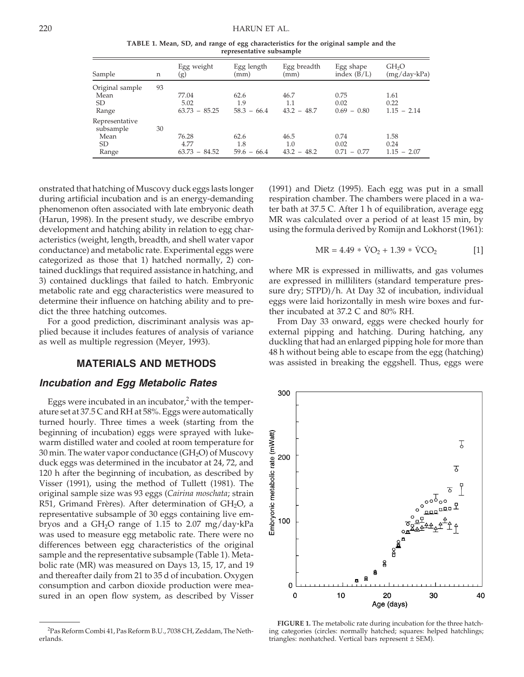**TABLE 1. Mean, SD, and range of egg characteristics for the original sample and the representative subsample**

| Sample                                             | n  | Egg weight<br>(g)                | Egg length<br>(mm)           | Egg breadth<br>(mm)          | Egg shape<br>index $(B/L)$    | GH <sub>2</sub> O<br>$(mg/day \cdot kPa)$ |
|----------------------------------------------------|----|----------------------------------|------------------------------|------------------------------|-------------------------------|-------------------------------------------|
| Original sample<br>Mean<br>SD.<br>Range            | 93 | 77.04<br>5.02<br>$63.73 - 85.25$ | 62.6<br>1.9<br>$58.3 - 66.4$ | 46.7<br>1.1<br>$43.2 - 48.7$ | 0.75<br>0.02<br>$0.69 - 0.80$ | 1.61<br>0.22<br>$1.15 - 2.14$             |
| Representative<br>subsample<br>Mean<br>SD<br>Range | 30 | 76.28<br>4.77<br>$63.73 - 84.52$ | 62.6<br>1.8<br>$59.6 - 66.4$ | 46.5<br>1.0<br>$43.2 - 48.2$ | 0.74<br>0.02<br>$0.71 - 0.77$ | 1.58<br>0.24<br>$1.15 - 2.07$             |

onstrated that hatching of Muscovy duck eggs lasts longer during artificial incubation and is an energy-demanding phenomenon often associated with late embryonic death (Harun, 1998). In the present study, we describe embryo development and hatching ability in relation to egg characteristics (weight, length, breadth, and shell water vapor conductance) and metabolic rate. Experimental eggs were categorized as those that 1) hatched normally, 2) contained ducklings that required assistance in hatching, and 3) contained ducklings that failed to hatch. Embryonic metabolic rate and egg characteristics were measured to determine their influence on hatching ability and to predict the three hatching outcomes.

For a good prediction, discriminant analysis was applied because it includes features of analysis of variance as well as multiple regression (Meyer, 1993).

### **MATERIALS AND METHODS**

#### *Incubation and Egg Metabolic Rates*

Eggs were incubated in an incubator, $\lambda^2$  with the temperature set at 37.5 C and RH at 58%. Eggs were automatically turned hourly. Three times a week (starting from the beginning of incubation) eggs were sprayed with lukewarm distilled water and cooled at room temperature for 30 min. The water vapor conductance  $(GH<sub>2</sub>O)$  of Muscovy duck eggs was determined in the incubator at 24, 72, and 120 h after the beginning of incubation, as described by Visser (1991), using the method of Tullett (1981). The original sample size was 93 eggs (*Cairina moschata*; strain R51, Grimand Frères). After determination of  $GH<sub>2</sub>O$ , a representative subsample of 30 eggs containing live embryos and a  $GH_2O$  range of 1.15 to 2.07 mg/day·kPa was used to measure egg metabolic rate. There were no differences between egg characteristics of the original sample and the representative subsample (Table 1). Metabolic rate (MR) was measured on Days 13, 15, 17, and 19 and thereafter daily from 21 to 35 d of incubation. Oxygen consumption and carbon dioxide production were measured in an open flow system, as described by Visser (1991) and Dietz (1995). Each egg was put in a small respiration chamber. The chambers were placed in a water bath at 37.5 C. After 1 h of equilibration, average egg MR was calculated over a period of at least 15 min, by using the formula derived by Romijn and Lokhorst (1961):

$$
MR = 4.49 * \dot{V}O_2 + 1.39 * \dot{V}CO_2
$$
 [1]

where MR is expressed in milliwatts, and gas volumes are expressed in milliliters (standard temperature pressure dry; STPD)/h. At Day 32 of incubation, individual eggs were laid horizontally in mesh wire boxes and further incubated at 37.2 C and 80% RH.

From Day 33 onward, eggs were checked hourly for external pipping and hatching. During hatching, any duckling that had an enlarged pipping hole for more than 48 h without being able to escape from the egg (hatching) was assisted in breaking the eggshell. Thus, eggs were



**FIGURE 1.** The metabolic rate during incubation for the three hatching categories (circles: normally hatched; squares: helped hatchlings; triangles: nonhatched. Vertical bars represent ± SEM).

<sup>2</sup> Pas Reform Combi 41, Pas Reform B.U., 7038 CH, Zeddam, The Netherlands.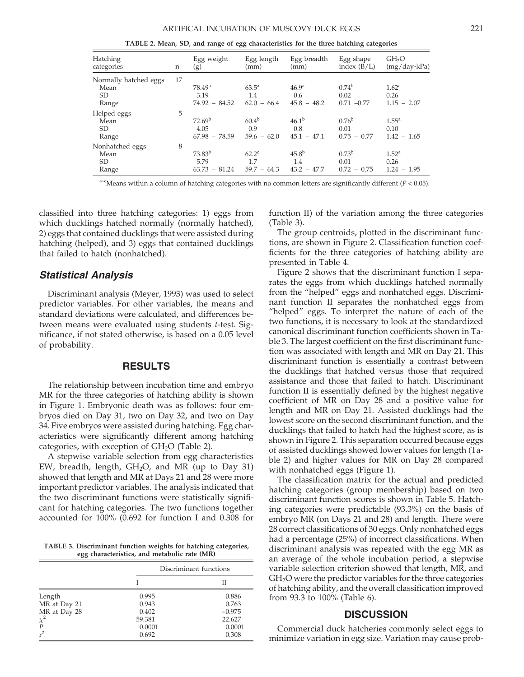**TABLE 2. Mean, SD, and range of egg characteristics for the three hatching categories**

| Hatching<br>categories                              | n  | Egg weight<br>(g)                             | Egg length<br>(mm)                     | Egg breadth<br>(mm)                       | Egg shape<br>index $(B/L)$                 | GH <sub>2</sub> O<br>$(mg/day \cdot kPa)$  |
|-----------------------------------------------------|----|-----------------------------------------------|----------------------------------------|-------------------------------------------|--------------------------------------------|--------------------------------------------|
| Normally hatched eggs<br>Mean<br><b>SD</b><br>Range | 17 | 78.49 <sup>a</sup><br>3.19<br>$74.92 - 84.52$ | $63.5^{\rm a}$<br>1.4<br>$62.0 - 66.4$ | 46.9 <sup>a</sup><br>0.6<br>$45.8 - 48.2$ | $0.74^{b}$<br>0.02<br>$0.71 - 0.77$        | 1.62 <sup>a</sup><br>0.26<br>$1.15 - 2.07$ |
| Helped eggs<br>Mean<br><b>SD</b><br>Range           | 5  | 72.69 <sup>b</sup><br>4.05<br>$67.98 - 78.59$ | $60.4^{b}$<br>0.9<br>$59.6 - 62.0$     | $46.1^{b}$<br>0.8<br>$45.1 - 47.1$        | $0.76^{\rm b}$<br>0.01<br>$0.75 - 0.77$    | $1.55^{\circ}$<br>0.10<br>$1.42 - 1.65$    |
| Nonhatched eggs<br>Mean<br>SD.<br>Range             | 8  | 73.83 <sup>b</sup><br>5.79<br>$63.73 - 81.24$ | $62.2^{\circ}$<br>1.7<br>$59.7 - 64.3$ | $45.8^{b}$<br>1.4<br>$43.2 - 47.7$        | 0.73 <sup>b</sup><br>0.01<br>$0.72 - 0.75$ | 1.52 <sup>a</sup><br>0.26<br>$1.24 - 1.95$ |

a–c Means within a column of hatching categories with no common letters are significantly different (*P* < 0.05).

classified into three hatching categories: 1) eggs from which ducklings hatched normally (normally hatched), 2) eggs that contained ducklings that were assisted during hatching (helped), and 3) eggs that contained ducklings that failed to hatch (nonhatched).

#### *Statistical Analysis*

Discriminant analysis (Meyer, 1993) was used to select predictor variables. For other variables, the means and standard deviations were calculated, and differences between means were evaluated using students *t*-test. Significance, if not stated otherwise, is based on a 0.05 level of probability.

## **RESULTS**

The relationship between incubation time and embryo MR for the three categories of hatching ability is shown in Figure 1. Embryonic death was as follows: four embryos died on Day 31, two on Day 32, and two on Day 34. Five embryos were assisted during hatching. Egg characteristics were significantly different among hatching categories, with exception of  $GH<sub>2</sub>O$  (Table 2).

A stepwise variable selection from egg characteristics EW, breadth, length,  $GH<sub>2</sub>O$ , and MR (up to Day 31) showed that length and MR at Days 21 and 28 were more important predictor variables. The analysis indicated that the two discriminant functions were statistically significant for hatching categories. The two functions together accounted for 100% (0.692 for function I and 0.308 for

**TABLE 3. Discriminant function weights for hatching categories, egg characteristics, and metabolic rate (MR)**

|                  | Discriminant functions |          |  |
|------------------|------------------------|----------|--|
|                  |                        | Н        |  |
| Length           | 0.995                  | 0.886    |  |
| MR at Day 21     | 0.943                  | 0.763    |  |
| MR at Day 28     | 0.402                  | $-0.975$ |  |
| $\chi^2$         | 59.381                 | 22.627   |  |
| $\boldsymbol{P}$ | 0.0001                 | 0.0001   |  |
| $r^2$            | 0.692                  | 0.308    |  |

function II) of the variation among the three categories (Table 3).

The group centroids, plotted in the discriminant functions, are shown in Figure 2. Classification function coefficients for the three categories of hatching ability are presented in Table 4.

Figure 2 shows that the discriminant function I separates the eggs from which ducklings hatched normally from the "helped" eggs and nonhatched eggs. Discriminant function II separates the nonhatched eggs from "helped" eggs. To interpret the nature of each of the two functions, it is necessary to look at the standardized canonical discriminant function coefficients shown in Table 3. The largest coefficient on the first discriminant function was associated with length and MR on Day 21. This discriminant function is essentially a contrast between the ducklings that hatched versus those that required assistance and those that failed to hatch. Discriminant function II is essentially defined by the highest negative coefficient of MR on Day 28 and a positive value for length and MR on Day 21. Assisted ducklings had the lowest score on the second discriminant function, and the ducklings that failed to hatch had the highest score, as is shown in Figure 2. This separation occurred because eggs of assisted ducklings showed lower values for length (Table 2) and higher values for MR on Day 28 compared with nonhatched eggs (Figure 1).

The classification matrix for the actual and predicted hatching categories (group membership) based on two discriminant function scores is shown in Table 5. Hatching categories were predictable (93.3%) on the basis of embryo MR (on Days 21 and 28) and length. There were 28 correct classifications of 30 eggs. Only nonhatched eggs had a percentage (25%) of incorrect classifications. When discriminant analysis was repeated with the egg MR as an average of the whole incubation period, a stepwise variable selection criterion showed that length, MR, and GH2O were the predictor variables for the three categories of hatching ability, and the overall classification improved from 93.3 to 100% (Table 6).

#### **DISCUSSION**

Commercial duck hatcheries commonly select eggs to minimize variation in egg size. Variation may cause prob-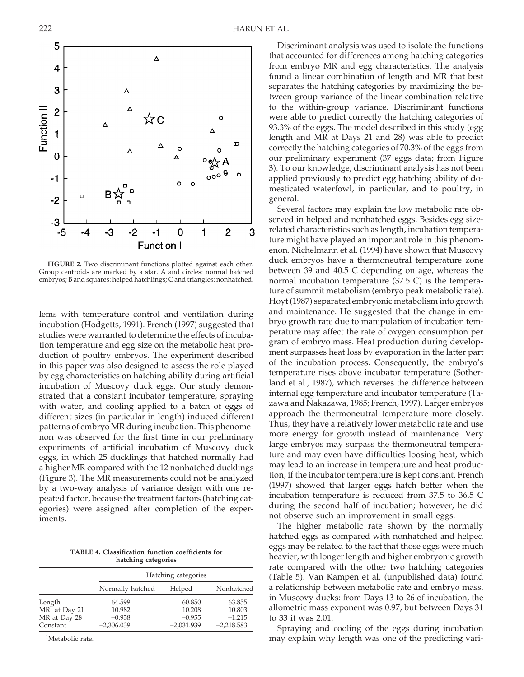**FIGURE 2.** Two discriminant functions plotted against each other. Group centroids are marked by a star. A and circles: normal hatched embryos; B and squares: helped hatchlings; C and triangles: nonhatched.

lems with temperature control and ventilation during incubation (Hodgetts, 1991). French (1997) suggested that studies were warranted to determine the effects of incubation temperature and egg size on the metabolic heat production of poultry embryos. The experiment described in this paper was also designed to assess the role played by egg characteristics on hatching ability during artificial incubation of Muscovy duck eggs. Our study demonstrated that a constant incubator temperature, spraying with water, and cooling applied to a batch of eggs of different sizes (in particular in length) induced different patterns of embryo MR during incubation. This phenomenon was observed for the first time in our preliminary experiments of artificial incubation of Muscovy duck eggs, in which 25 ducklings that hatched normally had a higher MR compared with the 12 nonhatched ducklings (Figure 3). The MR measurements could not be analyzed by a two-way analysis of variance design with one repeated factor, because the treatment factors (hatching categories) were assigned after completion of the experiments.

**TABLE 4. Classification function coefficients for hatching categories**

|                                     | Hatching categories |              |              |  |
|-------------------------------------|---------------------|--------------|--------------|--|
|                                     | Normally hatched    | Helped       | Nonhatched   |  |
|                                     | 64.599              | 60.850       | 63.855       |  |
| Length<br>MR <sup>1</sup> at Day 21 | 10.982              | 10.208       | 10.803       |  |
| MR at Day 28                        | $-0.938$            | $-0.955$     | $-1.215$     |  |
| Constant                            | $-2,306.039$        | $-2,031.939$ | $-2,218.583$ |  |

<sup>1</sup>Metabolic rate.

Discriminant analysis was used to isolate the functions that accounted for differences among hatching categories from embryo MR and egg characteristics. The analysis found a linear combination of length and MR that best separates the hatching categories by maximizing the between-group variance of the linear combination relative to the within-group variance. Discriminant functions were able to predict correctly the hatching categories of 93.3% of the eggs. The model described in this study (egg length and MR at Days 21 and 28) was able to predict correctly the hatching categories of 70.3% of the eggs from our preliminary experiment (37 eggs data; from Figure 3). To our knowledge, discriminant analysis has not been applied previously to predict egg hatching ability of domesticated waterfowl, in particular, and to poultry, in general.

Several factors may explain the low metabolic rate observed in helped and nonhatched eggs. Besides egg sizerelated characteristics such as length, incubation temperature might have played an important role in this phenomenon. Nichelmann et al. (1994) have shown that Muscovy duck embryos have a thermoneutral temperature zone between 39 and 40.5 C depending on age, whereas the normal incubation temperature (37.5 C) is the temperature of summit metabolism (embryo peak metabolic rate). Hoyt (1987) separated embryonic metabolism into growth and maintenance. He suggested that the change in embryo growth rate due to manipulation of incubation temperature may affect the rate of oxygen consumption per gram of embryo mass. Heat production during development surpasses heat loss by evaporation in the latter part of the incubation process. Consequently, the embryo's temperature rises above incubator temperature (Sotherland et al., 1987), which reverses the difference between internal egg temperature and incubator temperature (Tazawa and Nakazawa, 1985; French, 1997). Larger embryos approach the thermoneutral temperature more closely. Thus, they have a relatively lower metabolic rate and use more energy for growth instead of maintenance. Very large embryos may surpass the thermoneutral temperature and may even have difficulties loosing heat, which may lead to an increase in temperature and heat production, if the incubator temperature is kept constant. French (1997) showed that larger eggs hatch better when the incubation temperature is reduced from 37.5 to 36.5 C during the second half of incubation; however, he did not observe such an improvement in small eggs.

The higher metabolic rate shown by the normally hatched eggs as compared with nonhatched and helped eggs may be related to the fact that those eggs were much heavier, with longer length and higher embryonic growth rate compared with the other two hatching categories (Table 5). Van Kampen et al. (unpublished data) found a relationship between metabolic rate and embryo mass, in Muscovy ducks: from Days 13 to 26 of incubation, the allometric mass exponent was 0.97, but between Days 31 to 33 it was 2.01.

Spraying and cooling of the eggs during incubation may explain why length was one of the predicting vari-

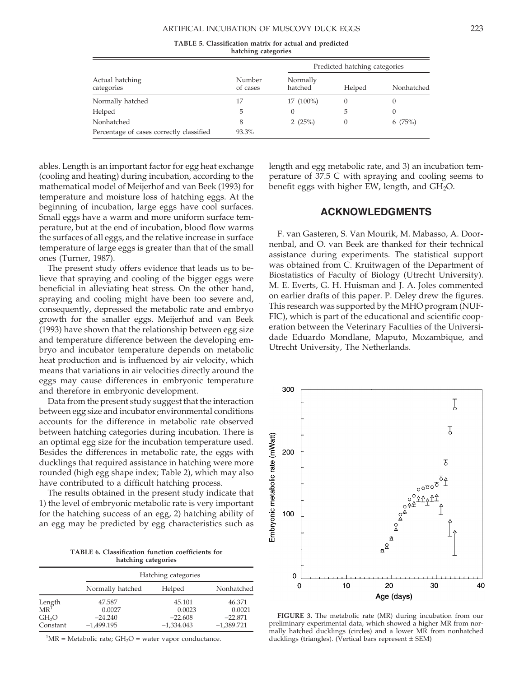#### ARTIFICAL INCUBATION OF MUSCOVY DUCK EGGS 223

**TABLE 5. Classification matrix for actual and predicted hatching categories**

|                                          |                    |                     | Predicted hatching categories |            |  |
|------------------------------------------|--------------------|---------------------|-------------------------------|------------|--|
| Actual hatching<br>categories            | Number<br>of cases | Normally<br>hatched | Helped                        | Nonhatched |  |
| Normally hatched                         | 17                 | $17(100\%)$         |                               |            |  |
| Helped                                   | 5                  | $\Omega$            | 5                             | $\Omega$   |  |
| Nonhatched                               | 8                  | 2 $(25%)$           | 0                             | 6(75%)     |  |
| Percentage of cases correctly classified | 93.3%              |                     |                               |            |  |

ables. Length is an important factor for egg heat exchange (cooling and heating) during incubation, according to the mathematical model of Meijerhof and van Beek (1993) for temperature and moisture loss of hatching eggs. At the beginning of incubation, large eggs have cool surfaces. Small eggs have a warm and more uniform surface temperature, but at the end of incubation, blood flow warms the surfaces of all eggs, and the relative increase in surface temperature of large eggs is greater than that of the small ones (Turner, 1987).

The present study offers evidence that leads us to believe that spraying and cooling of the bigger eggs were beneficial in alleviating heat stress. On the other hand, spraying and cooling might have been too severe and, consequently, depressed the metabolic rate and embryo growth for the smaller eggs. Meijerhof and van Beek (1993) have shown that the relationship between egg size and temperature difference between the developing embryo and incubator temperature depends on metabolic heat production and is influenced by air velocity, which means that variations in air velocities directly around the eggs may cause differences in embryonic temperature and therefore in embryonic development.

Data from the present study suggest that the interaction between egg size and incubator environmental conditions accounts for the difference in metabolic rate observed between hatching categories during incubation. There is an optimal egg size for the incubation temperature used. Besides the differences in metabolic rate, the eggs with ducklings that required assistance in hatching were more rounded (high egg shape index; Table 2), which may also have contributed to a difficult hatching process.

The results obtained in the present study indicate that 1) the level of embryonic metabolic rate is very important for the hatching success of an egg, 2) hatching ability of an egg may be predicted by egg characteristics such as

**TABLE 6. Classification function coefficients for hatching categories**

|                                                |                               | Hatching categories           |                               |  |  |
|------------------------------------------------|-------------------------------|-------------------------------|-------------------------------|--|--|
|                                                | Normally hatched              | Helped                        | Nonhatched                    |  |  |
| Length<br>MR <sup>1</sup><br>GH <sub>2</sub> O | 47.587<br>0.0027<br>$-24.240$ | 45.101<br>0.0023<br>$-22.608$ | 46.371<br>0.0021<br>$-22.871$ |  |  |
| Constant                                       | $-1,499.195$                  | $-1,334.043$                  | $-1,389.721$                  |  |  |

 ${}^{1}MR = Metabolic\ rate$ ;  $GH<sub>2</sub>O = water\ vapor\ conductance$ .

length and egg metabolic rate, and 3) an incubation temperature of 37.5 C with spraying and cooling seems to benefit eggs with higher EW, length, and  $GH_2O$ .

## **ACKNOWLEDGMENTS**

F. van Gasteren, S. Van Mourik, M. Mabasso, A. Doornenbal, and O. van Beek are thanked for their technical assistance during experiments. The statistical support was obtained from C. Kruitwagen of the Department of Biostatistics of Faculty of Biology (Utrecht University). M. E. Everts, G. H. Huisman and J. A. Joles commented on earlier drafts of this paper. P. Deley drew the figures. This research was supported by the MHO program (NUF-FIC), which is part of the educational and scientific cooperation between the Veterinary Faculties of the Universidade Eduardo Mondlane, Maputo, Mozambique, and Utrecht University, The Netherlands.



**FIGURE 3.** The metabolic rate (MR) during incubation from our preliminary experimental data, which showed a higher MR from normally hatched ducklings (circles) and a lower MR from nonhatched ducklings (triangles). (Vertical bars represent  $\pm$  SEM)